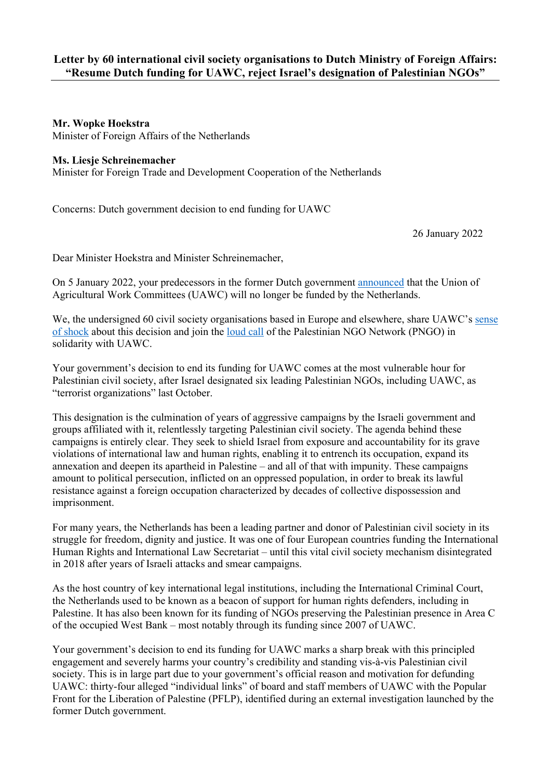## **Mr. Wopke Hoekstra**

Minister of Foreign Affairs of the Netherlands

## **Ms. Liesje Schreinemacher**

Minister for Foreign Trade and Development Cooperation of the Netherlands

Concerns: Dutch government decision to end funding for UAWC

26 January 2022

Dear Minister Hoekstra and Minister Schreinemacher,

On 5 January 2022, your predecessors in the former Dutch government [announced](https://www.tweedekamer.nl/kamerstukken/brieven_regering/detail?id=2022Z00093&did=2022D00176) that the Union of Agricultural Work Committees (UAWC) will no longer be funded by the Netherlands.

We, the undersigned 60 civil society organisations based in Europe and elsewhere, share UAWC's sense [of shock](https://uawc-pal.org/Files/Funding2022.pdf) about this decision and join the [loud call](https://www.pngo.net/?p=3860&lang=en) of the Palestinian NGO Network (PNGO) in solidarity with UAWC.

Your government's decision to end its funding for UAWC comes at the most vulnerable hour for Palestinian civil society, after Israel designated six leading Palestinian NGOs, including UAWC, as "terrorist organizations" last October.

This designation is the culmination of years of aggressive campaigns by the Israeli government and groups affiliated with it, relentlessly targeting Palestinian civil society. The agenda behind these campaigns is entirely clear. They seek to shield Israel from exposure and accountability for its grave violations of international law and human rights, enabling it to entrench its occupation, expand its annexation and deepen its apartheid in Palestine – and all of that with impunity. These campaigns amount to political persecution, inflicted on an oppressed population, in order to break its lawful resistance against a foreign occupation characterized by decades of collective dispossession and imprisonment.

For many years, the Netherlands has been a leading partner and donor of Palestinian civil society in its struggle for freedom, dignity and justice. It was one of four European countries funding the International Human Rights and International Law Secretariat – until this vital civil society mechanism disintegrated in 2018 after years of Israeli attacks and smear campaigns.

As the host country of key international legal institutions, including the International Criminal Court, the Netherlands used to be known as a beacon of support for human rights defenders, including in Palestine. It has also been known for its funding of NGOs preserving the Palestinian presence in Area C of the occupied West Bank – most notably through its funding since 2007 of UAWC.

Your government's decision to end its funding for UAWC marks a sharp break with this principled engagement and severely harms your country's credibility and standing vis-à-vis Palestinian civil society. This is in large part due to your government's official reason and motivation for defunding UAWC: thirty-four alleged "individual links" of board and staff members of UAWC with the Popular Front for the Liberation of Palestine (PFLP), identified during an external investigation launched by the former Dutch government.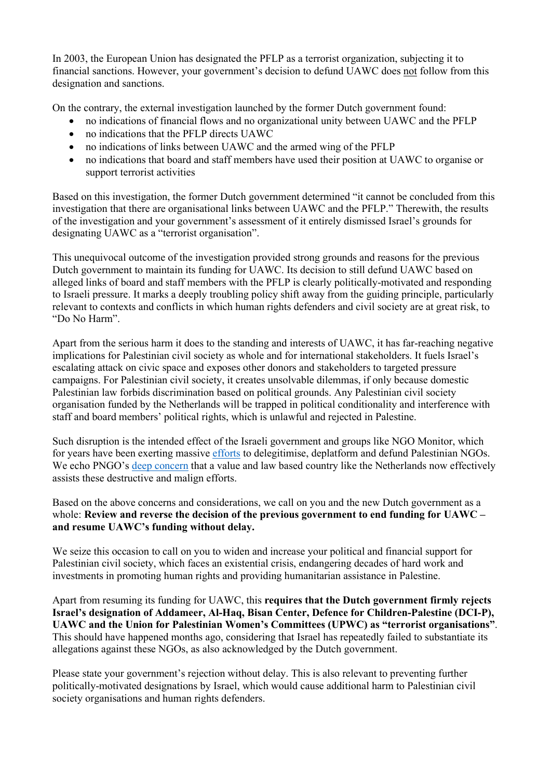In 2003, the European Union has designated the PFLP as a terrorist organization, subjecting it to financial sanctions. However, your government's decision to defund UAWC does not follow from this designation and sanctions.

On the contrary, the external investigation launched by the former Dutch government found:

- no indications of financial flows and no organizational unity between UAWC and the PFLP
- no indications that the PFLP directs UAWC
- no indications of links between UAWC and the armed wing of the PFLP
- no indications that board and staff members have used their position at UAWC to organise or support terrorist activities

Based on this investigation, the former Dutch government determined "it cannot be concluded from this investigation that there are organisational links between UAWC and the PFLP." Therewith, the results of the investigation and your government's assessment of it entirely dismissed Israel's grounds for designating UAWC as a "terrorist organisation".

This unequivocal outcome of the investigation provided strong grounds and reasons for the previous Dutch government to maintain its funding for UAWC. Its decision to still defund UAWC based on alleged links of board and staff members with the PFLP is clearly politically-motivated and responding to Israeli pressure. It marks a deeply troubling policy shift away from the guiding principle, particularly relevant to contexts and conflicts in which human rights defenders and civil society are at great risk, to "Do No Harm".

Apart from the serious harm it does to the standing and interests of UAWC, it has far-reaching negative implications for Palestinian civil society as whole and for international stakeholders. It fuels Israel's escalating attack on civic space and exposes other donors and stakeholders to targeted pressure campaigns. For Palestinian civil society, it creates unsolvable dilemmas, if only because domestic Palestinian law forbids discrimination based on political grounds. Any Palestinian civil society organisation funded by the Netherlands will be trapped in political conditionality and interference with staff and board members' political rights, which is unlawful and rejected in Palestine.

Such disruption is the intended effect of the Israeli government and groups like NGO Monitor, which for years have been exerting massive [efforts](https://www.fidh.org/IMG/pdf/obs_palestine2021ang.pdf) to delegitimise, deplatform and defund Palestinian NGOs. We echo PNGO's [deep concern](https://www.pngo.net/?p=3860&lang=en) that a value and law based country like the Netherlands now effectively assists these destructive and malign efforts.

Based on the above concerns and considerations, we call on you and the new Dutch government as a whole: **Review and reverse the decision of the previous government to end funding for UAWC – and resume UAWC's funding without delay.**

We seize this occasion to call on you to widen and increase your political and financial support for Palestinian civil society, which faces an existential crisis, endangering decades of hard work and investments in promoting human rights and providing humanitarian assistance in Palestine.

Apart from resuming its funding for UAWC, this **requires that the Dutch government firmly rejects Israel's designation of Addameer, Al-Haq, Bisan Center, Defence for Children-Palestine (DCI-P), UAWC and the Union for Palestinian Women's Committees (UPWC) as "terrorist organisations"**. This should have happened months ago, considering that Israel has repeatedly failed to substantiate its allegations against these NGOs, as also acknowledged by the Dutch government.

Please state your government's rejection without delay. This is also relevant to preventing further politically-motivated designations by Israel, which would cause additional harm to Palestinian civil society organisations and human rights defenders.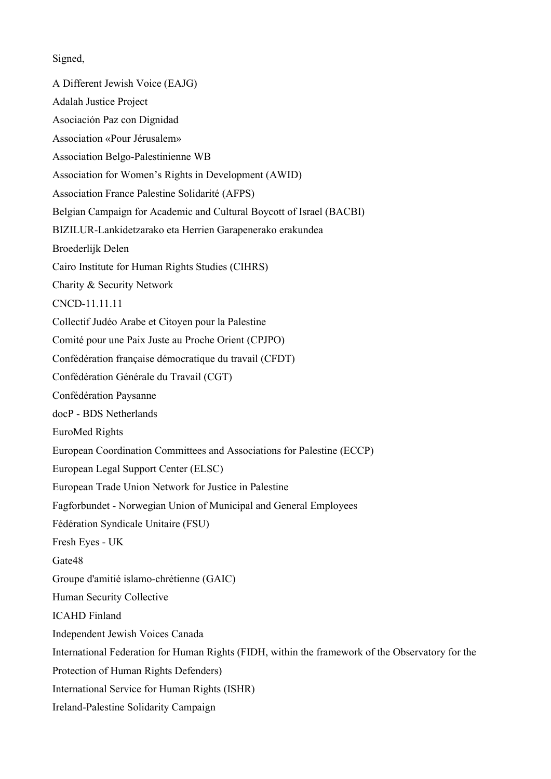Signed,

A Different Jewish Voice (EAJG) Adalah Justice Project Asociación Paz con Dignidad Association «Pour Jérusalem» Association Belgo-Palestinienne WB Association for Women's Rights in Development (AWID) Association France Palestine Solidarité (AFPS) Belgian Campaign for Academic and Cultural Boycott of Israel (BACBI) BIZILUR-Lankidetzarako eta Herrien Garapenerako erakundea Broederlijk Delen Cairo Institute for Human Rights Studies (CIHRS) Charity & Security Network CNCD-11.11.11 Collectif Judéo Arabe et Citoyen pour la Palestine Comité pour une Paix Juste au Proche Orient (CPJPO) Confédération française démocratique du travail (CFDT) Confédération Générale du Travail (CGT) Confédération Paysanne docP - BDS Netherlands EuroMed Rights European Coordination Committees and Associations for Palestine (ECCP) European Legal Support Center (ELSC) European Trade Union Network for Justice in Palestine Fagforbundet - Norwegian Union of Municipal and General Employees Fédération Syndicale Unitaire (FSU) Fresh Eyes - UK Gate48 Groupe d'amitié islamo-chrétienne (GAIC) Human Security Collective ICAHD Finland Independent Jewish Voices Canada International Federation for Human Rights (FIDH, within the framework of the Observatory for the Protection of Human Rights Defenders) International Service for Human Rights (ISHR) Ireland-Palestine Solidarity Campaign